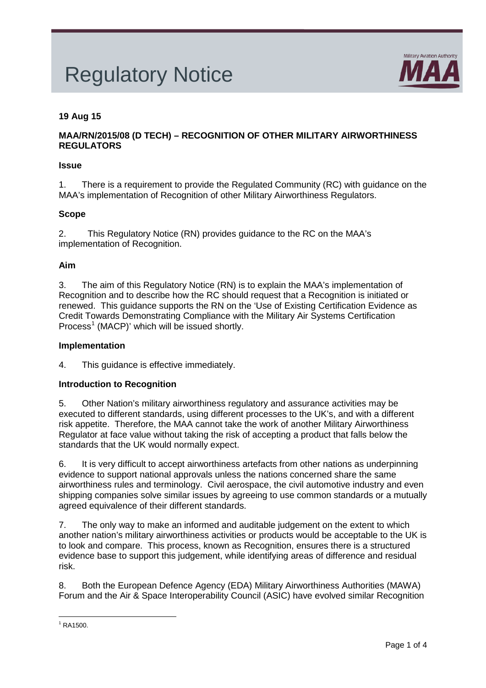# Regulatory Notice



# **19 Aug 15**

# **MAA/RN/2015/08 (D TECH) – RECOGNITION OF OTHER MILITARY AIRWORTHINESS REGULATORS**

### **Issue**

1. There is a requirement to provide the Regulated Community (RC) with guidance on the MAA's implementation of Recognition of other Military Airworthiness Regulators.

## **Scope**

2. This Regulatory Notice (RN) provides guidance to the RC on the MAA's implementation of Recognition.

#### **Aim**

3. The aim of this Regulatory Notice (RN) is to explain the MAA's implementation of Recognition and to describe how the RC should request that a Recognition is initiated or renewed. This guidance supports the RN on the 'Use of Existing Certification Evidence as Credit Towards Demonstrating Compliance with the Military Air Systems Certification Process<sup>[1](#page-0-0)</sup> (MACP)' which will be issued shortly.

#### **Implementation**

4. This guidance is effective immediately.

#### **Introduction to Recognition**

5. Other Nation's military airworthiness regulatory and assurance activities may be executed to different standards, using different processes to the UK's, and with a different risk appetite. Therefore, the MAA cannot take the work of another Military Airworthiness Regulator at face value without taking the risk of accepting a product that falls below the standards that the UK would normally expect.

6. It is very difficult to accept airworthiness artefacts from other nations as underpinning evidence to support national approvals unless the nations concerned share the same airworthiness rules and terminology. Civil aerospace, the civil automotive industry and even shipping companies solve similar issues by agreeing to use common standards or a mutually agreed equivalence of their different standards.

7. The only way to make an informed and auditable judgement on the extent to which another nation's military airworthiness activities or products would be acceptable to the UK is to look and compare. This process, known as Recognition, ensures there is a structured evidence base to support this judgement, while identifying areas of difference and residual risk.

8. Both the European Defence Agency (EDA) Military Airworthiness Authorities (MAWA) Forum and the Air & Space Interoperability Council (ASIC) have evolved similar Recognition

<span id="page-0-0"></span> $1$  RA1500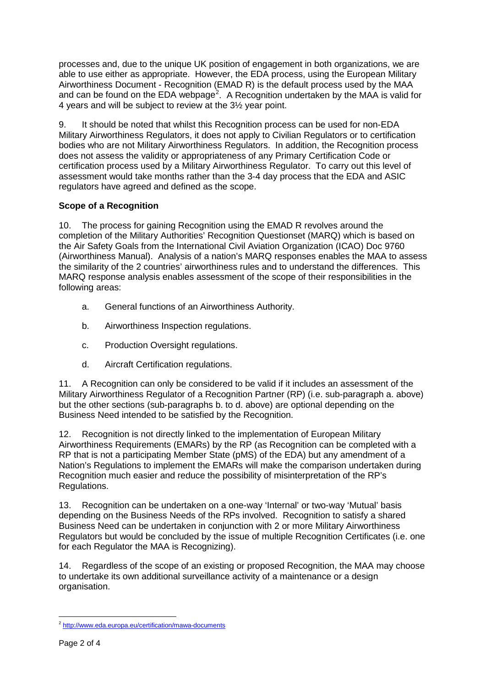processes and, due to the unique UK position of engagement in both organizations, we are able to use either as appropriate. However, the EDA process, using the European Military Airworthiness Document - Recognition (EMAD R) is the default process used by the MAA and can be found on the EDA webpage<sup>[2](#page-1-0)</sup>. A Recognition undertaken by the MAA is valid for 4 years and will be subject to review at the 3½ year point.

9. It should be noted that whilst this Recognition process can be used for non-EDA Military Airworthiness Regulators, it does not apply to Civilian Regulators or to certification bodies who are not Military Airworthiness Regulators. In addition, the Recognition process does not assess the validity or appropriateness of any Primary Certification Code or certification process used by a Military Airworthiness Regulator. To carry out this level of assessment would take months rather than the 3-4 day process that the EDA and ASIC regulators have agreed and defined as the scope.

# **Scope of a Recognition**

10. The process for gaining Recognition using the EMAD R revolves around the completion of the Military Authorities' Recognition Questionset (MARQ) which is based on the Air Safety Goals from the International Civil Aviation Organization (ICAO) Doc 9760 (Airworthiness Manual). Analysis of a nation's MARQ responses enables the MAA to assess the similarity of the 2 countries' airworthiness rules and to understand the differences. This MARQ response analysis enables assessment of the scope of their responsibilities in the following areas:

- a. General functions of an Airworthiness Authority.
- b. Airworthiness Inspection regulations.
- c. Production Oversight regulations.
- d. Aircraft Certification regulations.

11. A Recognition can only be considered to be valid if it includes an assessment of the Military Airworthiness Regulator of a Recognition Partner (RP) (i.e. sub-paragraph a. above) but the other sections (sub-paragraphs b. to d. above) are optional depending on the Business Need intended to be satisfied by the Recognition.

12. Recognition is not directly linked to the implementation of European Military Airworthiness Requirements (EMARs) by the RP (as Recognition can be completed with a RP that is not a participating Member State (pMS) of the EDA) but any amendment of a Nation's Regulations to implement the EMARs will make the comparison undertaken during Recognition much easier and reduce the possibility of misinterpretation of the RP's Regulations.

13. Recognition can be undertaken on a one-way 'Internal' or two-way 'Mutual' basis depending on the Business Needs of the RPs involved. Recognition to satisfy a shared Business Need can be undertaken in conjunction with 2 or more Military Airworthiness Regulators but would be concluded by the issue of multiple Recognition Certificates (i.e. one for each Regulator the MAA is Recognizing).

14. Regardless of the scope of an existing or proposed Recognition, the MAA may choose to undertake its own additional surveillance activity of a maintenance or a design organisation.

<span id="page-1-0"></span><sup>2</sup> <http://www.eda.europa.eu/certification/mawa-documents>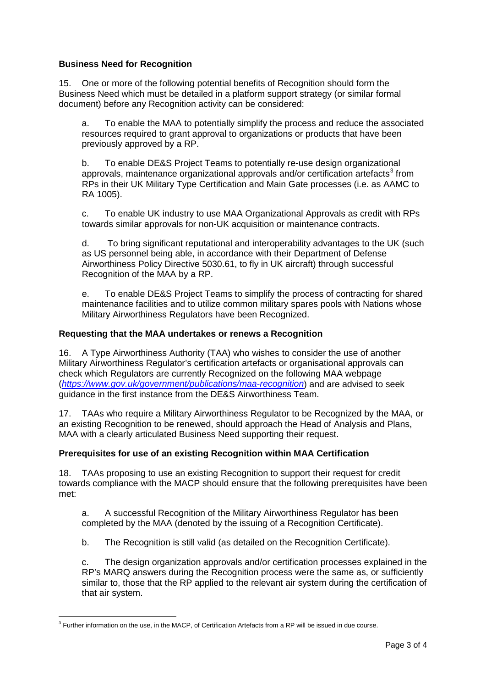# **Business Need for Recognition**

15. One or more of the following potential benefits of Recognition should form the Business Need which must be detailed in a platform support strategy (or similar formal document) before any Recognition activity can be considered:

a. To enable the MAA to potentially simplify the process and reduce the associated resources required to grant approval to organizations or products that have been previously approved by a RP.

b. To enable DE&S Project Teams to potentially re-use design organizational approvals, maintenance organizational approvals and/or certification artefacts<sup>[3](#page-2-0)</sup> from RPs in their UK Military Type Certification and Main Gate processes (i.e. as AAMC to RA 1005).

c. To enable UK industry to use MAA Organizational Approvals as credit with RPs towards similar approvals for non-UK acquisition or maintenance contracts.

d. To bring significant reputational and interoperability advantages to the UK (such as US personnel being able, in accordance with their Department of Defense Airworthiness Policy Directive 5030.61, to fly in UK aircraft) through successful Recognition of the MAA by a RP.

e. To enable DE&S Project Teams to simplify the process of contracting for shared maintenance facilities and to utilize common military spares pools with Nations whose Military Airworthiness Regulators have been Recognized.

# **Requesting that the MAA undertakes or renews a Recognition**

16. A Type Airworthiness Authority (TAA) who wishes to consider the use of another Military Airworthiness Regulator's certification artefacts or organisational approvals can check which Regulators are currently Recognized on the following MAA webpage (*<https://www.gov.uk/government/publications/maa-recognition>*) and are advised to seek guidance in the first instance from the DE&S Airworthiness Team.

17. TAAs who require a Military Airworthiness Regulator to be Recognized by the MAA, or an existing Recognition to be renewed, should approach the Head of Analysis and Plans, MAA with a clearly articulated Business Need supporting their request.

# **Prerequisites for use of an existing Recognition within MAA Certification**

18. TAAs proposing to use an existing Recognition to support their request for credit towards compliance with the MACP should ensure that the following prerequisites have been met:

a. A successful Recognition of the Military Airworthiness Regulator has been completed by the MAA (denoted by the issuing of a Recognition Certificate).

b. The Recognition is still valid (as detailed on the Recognition Certificate).

c. The design organization approvals and/or certification processes explained in the RP's MARQ answers during the Recognition process were the same as, or sufficiently similar to, those that the RP applied to the relevant air system during the certification of that air system.

<span id="page-2-0"></span> $3$  Further information on the use, in the MACP, of Certification Artefacts from a RP will be issued in due course.